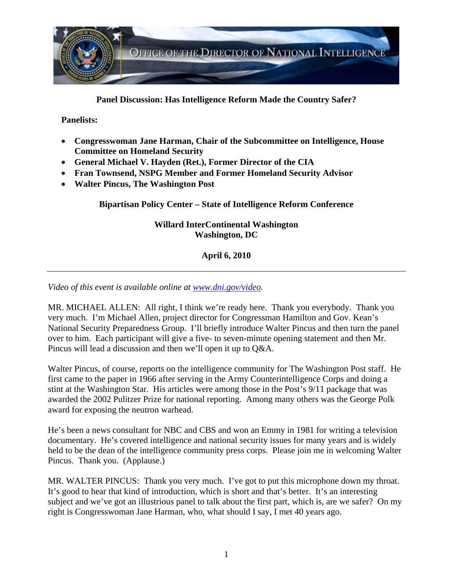

**Panel Discussion: Has Intelligence Reform Made the Country Safer?** 

#### **Panelists:**

- **Congresswoman Jane Harman, Chair of the Subcommittee on Intelligence, House Committee on Homeland Security**
- **General Michael V. Hayden (Ret.), Former Director of the CIA**
- **Fran Townsend, NSPG Member and Former Homeland Security Advisor**
- **Walter Pincus, The Washington Post**

**Bipartisan Policy Center – State of Intelligence Reform Conference** 

## **Willard InterContinental Washington Washington, DC**

# **April 6, 2010**

*Video of this event is available online at www.dni.gov/video.* 

MR. MICHAEL ALLEN: All right, I think we're ready here. Thank you everybody. Thank you very much. I'm Michael Allen, project director for Congressman Hamilton and Gov. Kean's National Security Preparedness Group. I'll briefly introduce Walter Pincus and then turn the panel over to him. Each participant will give a five- to seven-minute opening statement and then Mr. Pincus will lead a discussion and then we'll open it up to Q&A.

Walter Pincus, of course, reports on the intelligence community for The Washington Post staff. He first came to the paper in 1966 after serving in the Army Counterintelligence Corps and doing a stint at the Washington Star. His articles were among those in the Post's 9/11 package that was awarded the 2002 Pulitzer Prize for national reporting. Among many others was the George Polk award for exposing the neutron warhead.

He's been a news consultant for NBC and CBS and won an Emmy in 1981 for writing a television documentary. He's covered intelligence and national security issues for many years and is widely held to be the dean of the intelligence community press corps. Please join me in welcoming Walter Pincus. Thank you. (Applause.)

MR. WALTER PINCUS: Thank you very much. I've got to put this microphone down my throat. It's good to hear that kind of introduction, which is short and that's better. It's an interesting subject and we've got an illustrious panel to talk about the first part, which is, are we safer? On my right is Congresswoman Jane Harman, who, what should I say, I met 40 years ago.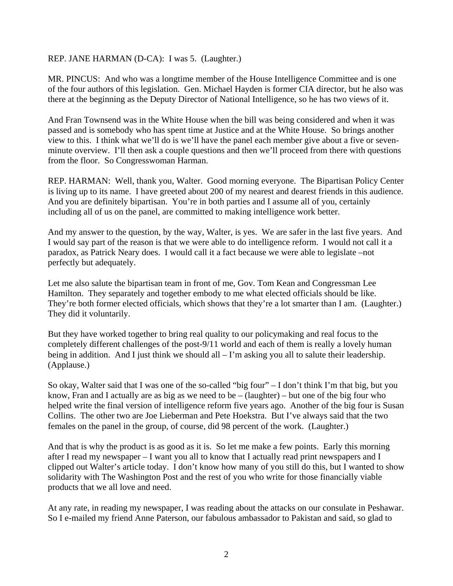#### REP. JANE HARMAN (D-CA): I was 5. (Laughter.)

MR. PINCUS: And who was a longtime member of the House Intelligence Committee and is one of the four authors of this legislation. Gen. Michael Hayden is former CIA director, but he also was there at the beginning as the Deputy Director of National Intelligence, so he has two views of it.

And Fran Townsend was in the White House when the bill was being considered and when it was passed and is somebody who has spent time at Justice and at the White House. So brings another view to this. I think what we'll do is we'll have the panel each member give about a five or sevenminute overview. I'll then ask a couple questions and then we'll proceed from there with questions from the floor. So Congresswoman Harman.

REP. HARMAN: Well, thank you, Walter. Good morning everyone. The Bipartisan Policy Center is living up to its name. I have greeted about 200 of my nearest and dearest friends in this audience. And you are definitely bipartisan. You're in both parties and I assume all of you, certainly including all of us on the panel, are committed to making intelligence work better.

And my answer to the question, by the way, Walter, is yes. We are safer in the last five years. And I would say part of the reason is that we were able to do intelligence reform. I would not call it a paradox, as Patrick Neary does. I would call it a fact because we were able to legislate –not perfectly but adequately.

Let me also salute the bipartisan team in front of me, Gov. Tom Kean and Congressman Lee Hamilton. They separately and together embody to me what elected officials should be like. They're both former elected officials, which shows that they're a lot smarter than I am. (Laughter.) They did it voluntarily.

But they have worked together to bring real quality to our policymaking and real focus to the completely different challenges of the post-9/11 world and each of them is really a lovely human being in addition. And I just think we should all – I'm asking you all to salute their leadership. (Applause.)

So okay, Walter said that I was one of the so-called "big four" – I don't think I'm that big, but you know, Fran and I actually are as big as we need to be  $-$  (laughter) – but one of the big four who helped write the final version of intelligence reform five years ago. Another of the big four is Susan Collins. The other two are Joe Lieberman and Pete Hoekstra. But I've always said that the two females on the panel in the group, of course, did 98 percent of the work. (Laughter.)

And that is why the product is as good as it is. So let me make a few points. Early this morning after I read my newspaper – I want you all to know that I actually read print newspapers and I clipped out Walter's article today. I don't know how many of you still do this, but I wanted to show solidarity with The Washington Post and the rest of you who write for those financially viable products that we all love and need.

At any rate, in reading my newspaper, I was reading about the attacks on our consulate in Peshawar. So I e-mailed my friend Anne Paterson, our fabulous ambassador to Pakistan and said, so glad to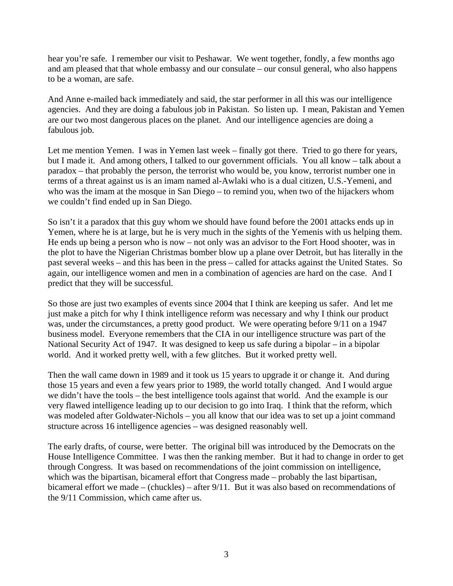hear you're safe. I remember our visit to Peshawar. We went together, fondly, a few months ago and am pleased that that whole embassy and our consulate – our consul general, who also happens to be a woman, are safe.

And Anne e-mailed back immediately and said, the star performer in all this was our intelligence agencies. And they are doing a fabulous job in Pakistan. So listen up. I mean, Pakistan and Yemen are our two most dangerous places on the planet. And our intelligence agencies are doing a fabulous job.

Let me mention Yemen. I was in Yemen last week – finally got there. Tried to go there for years, but I made it. And among others, I talked to our government officials. You all know – talk about a paradox – that probably the person, the terrorist who would be, you know, terrorist number one in terms of a threat against us is an imam named al-Awlaki who is a dual citizen, U.S.-Yemeni, and who was the imam at the mosque in San Diego – to remind you, when two of the hijackers whom we couldn't find ended up in San Diego.

So isn't it a paradox that this guy whom we should have found before the 2001 attacks ends up in Yemen, where he is at large, but he is very much in the sights of the Yemenis with us helping them. He ends up being a person who is now – not only was an advisor to the Fort Hood shooter, was in the plot to have the Nigerian Christmas bomber blow up a plane over Detroit, but has literally in the past several weeks – and this has been in the press – called for attacks against the United States. So again, our intelligence women and men in a combination of agencies are hard on the case. And I predict that they will be successful.

So those are just two examples of events since 2004 that I think are keeping us safer. And let me just make a pitch for why I think intelligence reform was necessary and why I think our product was, under the circumstances, a pretty good product. We were operating before 9/11 on a 1947 business model. Everyone remembers that the CIA in our intelligence structure was part of the National Security Act of 1947. It was designed to keep us safe during a bipolar – in a bipolar world. And it worked pretty well, with a few glitches. But it worked pretty well.

Then the wall came down in 1989 and it took us 15 years to upgrade it or change it. And during those 15 years and even a few years prior to 1989, the world totally changed. And I would argue we didn't have the tools – the best intelligence tools against that world. And the example is our very flawed intelligence leading up to our decision to go into Iraq. I think that the reform, which was modeled after Goldwater-Nichols – you all know that our idea was to set up a joint command structure across 16 intelligence agencies – was designed reasonably well.

The early drafts, of course, were better. The original bill was introduced by the Democrats on the House Intelligence Committee. I was then the ranking member. But it had to change in order to get through Congress. It was based on recommendations of the joint commission on intelligence, which was the bipartisan, bicameral effort that Congress made – probably the last bipartisan, bicameral effort we made – (chuckles) – after 9/11. But it was also based on recommendations of the 9/11 Commission, which came after us.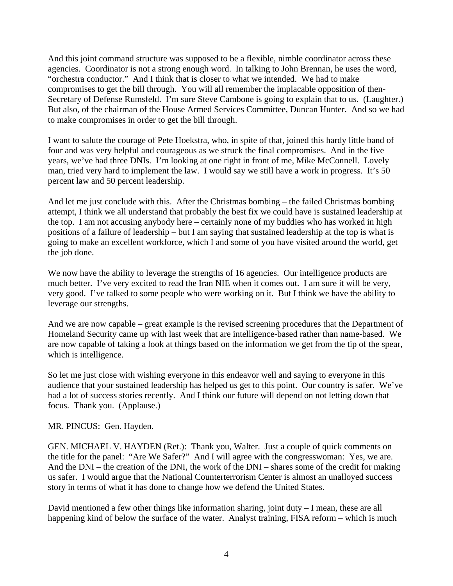And this joint command structure was supposed to be a flexible, nimble coordinator across these agencies. Coordinator is not a strong enough word. In talking to John Brennan, he uses the word, "orchestra conductor." And I think that is closer to what we intended. We had to make compromises to get the bill through. You will all remember the implacable opposition of then-Secretary of Defense Rumsfeld. I'm sure Steve Cambone is going to explain that to us. (Laughter.) But also, of the chairman of the House Armed Services Committee, Duncan Hunter. And so we had to make compromises in order to get the bill through.

I want to salute the courage of Pete Hoekstra, who, in spite of that, joined this hardy little band of four and was very helpful and courageous as we struck the final compromises. And in the five years, we've had three DNIs. I'm looking at one right in front of me, Mike McConnell. Lovely man, tried very hard to implement the law. I would say we still have a work in progress. It's 50 percent law and 50 percent leadership.

And let me just conclude with this. After the Christmas bombing – the failed Christmas bombing attempt, I think we all understand that probably the best fix we could have is sustained leadership at the top. I am not accusing anybody here – certainly none of my buddies who has worked in high positions of a failure of leadership – but I am saying that sustained leadership at the top is what is going to make an excellent workforce, which I and some of you have visited around the world, get the job done.

We now have the ability to leverage the strengths of 16 agencies. Our intelligence products are much better. I've very excited to read the Iran NIE when it comes out. I am sure it will be very, very good. I've talked to some people who were working on it. But I think we have the ability to leverage our strengths.

And we are now capable – great example is the revised screening procedures that the Department of Homeland Security came up with last week that are intelligence-based rather than name-based. We are now capable of taking a look at things based on the information we get from the tip of the spear, which is intelligence.

So let me just close with wishing everyone in this endeavor well and saying to everyone in this audience that your sustained leadership has helped us get to this point. Our country is safer. We've had a lot of success stories recently. And I think our future will depend on not letting down that focus. Thank you. (Applause.)

MR. PINCUS: Gen. Hayden.

GEN. MICHAEL V. HAYDEN (Ret.): Thank you, Walter. Just a couple of quick comments on the title for the panel: "Are We Safer?" And I will agree with the congresswoman: Yes, we are. And the DNI – the creation of the DNI, the work of the DNI – shares some of the credit for making us safer. I would argue that the National Counterterrorism Center is almost an unalloyed success story in terms of what it has done to change how we defend the United States.

David mentioned a few other things like information sharing, joint duty – I mean, these are all happening kind of below the surface of the water. Analyst training, FISA reform – which is much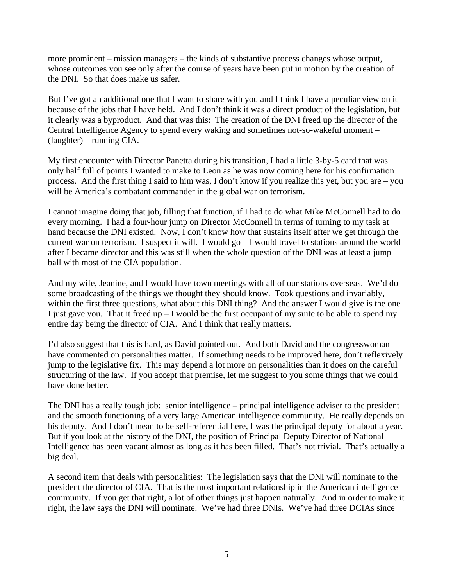more prominent – mission managers – the kinds of substantive process changes whose output, whose outcomes you see only after the course of years have been put in motion by the creation of the DNI. So that does make us safer.

But I've got an additional one that I want to share with you and I think I have a peculiar view on it because of the jobs that I have held. And I don't think it was a direct product of the legislation, but it clearly was a byproduct. And that was this: The creation of the DNI freed up the director of the Central Intelligence Agency to spend every waking and sometimes not-so-wakeful moment – (laughter) – running CIA.

My first encounter with Director Panetta during his transition, I had a little 3-by-5 card that was only half full of points I wanted to make to Leon as he was now coming here for his confirmation process. And the first thing I said to him was, I don't know if you realize this yet, but you are – you will be America's combatant commander in the global war on terrorism.

I cannot imagine doing that job, filling that function, if I had to do what Mike McConnell had to do every morning. I had a four-hour jump on Director McConnell in terms of turning to my task at hand because the DNI existed. Now, I don't know how that sustains itself after we get through the current war on terrorism. I suspect it will. I would  $g_0 - I$  would travel to stations around the world after I became director and this was still when the whole question of the DNI was at least a jump ball with most of the CIA population.

And my wife, Jeanine, and I would have town meetings with all of our stations overseas. We'd do some broadcasting of the things we thought they should know. Took questions and invariably, within the first three questions, what about this DNI thing? And the answer I would give is the one I just gave you. That it freed up  $-$  I would be the first occupant of my suite to be able to spend my entire day being the director of CIA. And I think that really matters.

I'd also suggest that this is hard, as David pointed out. And both David and the congresswoman have commented on personalities matter. If something needs to be improved here, don't reflexively jump to the legislative fix. This may depend a lot more on personalities than it does on the careful structuring of the law. If you accept that premise, let me suggest to you some things that we could have done better.

The DNI has a really tough job: senior intelligence – principal intelligence adviser to the president and the smooth functioning of a very large American intelligence community. He really depends on his deputy. And I don't mean to be self-referential here, I was the principal deputy for about a year. But if you look at the history of the DNI, the position of Principal Deputy Director of National Intelligence has been vacant almost as long as it has been filled. That's not trivial. That's actually a big deal.

A second item that deals with personalities: The legislation says that the DNI will nominate to the president the director of CIA. That is the most important relationship in the American intelligence community. If you get that right, a lot of other things just happen naturally. And in order to make it right, the law says the DNI will nominate. We've had three DNIs. We've had three DCIAs since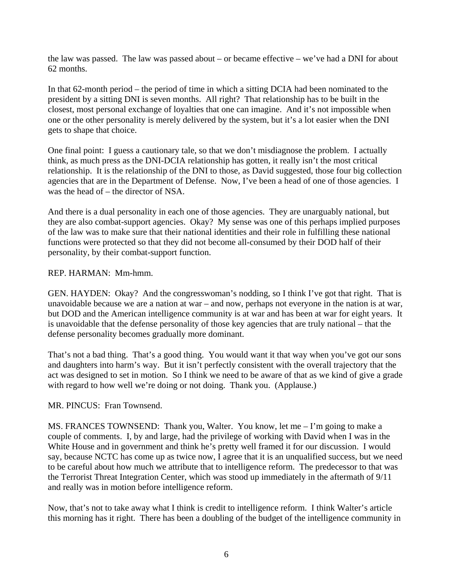the law was passed. The law was passed about – or became effective – we've had a DNI for about 62 months.

In that 62-month period – the period of time in which a sitting DCIA had been nominated to the president by a sitting DNI is seven months. All right? That relationship has to be built in the closest, most personal exchange of loyalties that one can imagine. And it's not impossible when one or the other personality is merely delivered by the system, but it's a lot easier when the DNI gets to shape that choice.

One final point: I guess a cautionary tale, so that we don't misdiagnose the problem. I actually think, as much press as the DNI-DCIA relationship has gotten, it really isn't the most critical relationship. It is the relationship of the DNI to those, as David suggested, those four big collection agencies that are in the Department of Defense. Now, I've been a head of one of those agencies. I was the head of – the director of NSA.

And there is a dual personality in each one of those agencies. They are unarguably national, but they are also combat-support agencies. Okay? My sense was one of this perhaps implied purposes of the law was to make sure that their national identities and their role in fulfilling these national functions were protected so that they did not become all-consumed by their DOD half of their personality, by their combat-support function.

### REP. HARMAN: Mm-hmm.

GEN. HAYDEN: Okay? And the congresswoman's nodding, so I think I've got that right. That is unavoidable because we are a nation at war – and now, perhaps not everyone in the nation is at war, but DOD and the American intelligence community is at war and has been at war for eight years. It is unavoidable that the defense personality of those key agencies that are truly national – that the defense personality becomes gradually more dominant.

That's not a bad thing. That's a good thing. You would want it that way when you've got our sons and daughters into harm's way. But it isn't perfectly consistent with the overall trajectory that the act was designed to set in motion. So I think we need to be aware of that as we kind of give a grade with regard to how well we're doing or not doing. Thank you. (Applause.)

### MR. PINCUS: Fran Townsend.

MS. FRANCES TOWNSEND: Thank you, Walter. You know, let me – I'm going to make a couple of comments. I, by and large, had the privilege of working with David when I was in the White House and in government and think he's pretty well framed it for our discussion. I would say, because NCTC has come up as twice now, I agree that it is an unqualified success, but we need to be careful about how much we attribute that to intelligence reform. The predecessor to that was the Terrorist Threat Integration Center, which was stood up immediately in the aftermath of 9/11 and really was in motion before intelligence reform.

Now, that's not to take away what I think is credit to intelligence reform. I think Walter's article this morning has it right. There has been a doubling of the budget of the intelligence community in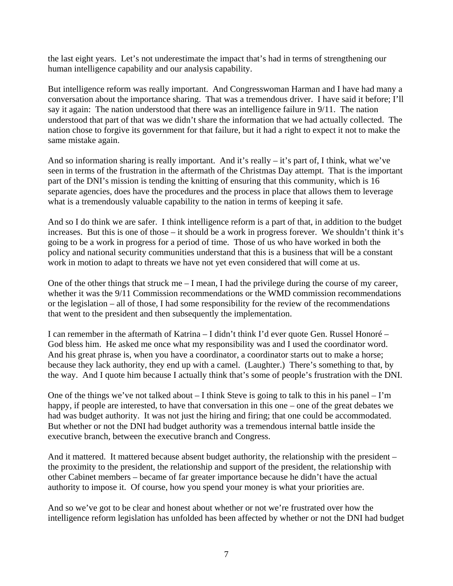the last eight years. Let's not underestimate the impact that's had in terms of strengthening our human intelligence capability and our analysis capability.

But intelligence reform was really important. And Congresswoman Harman and I have had many a conversation about the importance sharing. That was a tremendous driver. I have said it before; I'll say it again: The nation understood that there was an intelligence failure in 9/11. The nation understood that part of that was we didn't share the information that we had actually collected. The nation chose to forgive its government for that failure, but it had a right to expect it not to make the same mistake again.

And so information sharing is really important. And it's really – it's part of, I think, what we've seen in terms of the frustration in the aftermath of the Christmas Day attempt. That is the important part of the DNI's mission is tending the knitting of ensuring that this community, which is 16 separate agencies, does have the procedures and the process in place that allows them to leverage what is a tremendously valuable capability to the nation in terms of keeping it safe.

And so I do think we are safer. I think intelligence reform is a part of that, in addition to the budget increases. But this is one of those – it should be a work in progress forever. We shouldn't think it's going to be a work in progress for a period of time. Those of us who have worked in both the policy and national security communities understand that this is a business that will be a constant work in motion to adapt to threats we have not yet even considered that will come at us.

One of the other things that struck me – I mean, I had the privilege during the course of my career, whether it was the 9/11 Commission recommendations or the WMD commission recommendations or the legislation – all of those, I had some responsibility for the review of the recommendations that went to the president and then subsequently the implementation.

I can remember in the aftermath of Katrina – I didn't think I'd ever quote Gen. Russel Honoré – God bless him. He asked me once what my responsibility was and I used the coordinator word. And his great phrase is, when you have a coordinator, a coordinator starts out to make a horse; because they lack authority, they end up with a camel. (Laughter.) There's something to that, by the way. And I quote him because I actually think that's some of people's frustration with the DNI.

One of the things we've not talked about  $-$  I think Steve is going to talk to this in his panel  $-$  I'm happy, if people are interested, to have that conversation in this one – one of the great debates we had was budget authority. It was not just the hiring and firing; that one could be accommodated. But whether or not the DNI had budget authority was a tremendous internal battle inside the executive branch, between the executive branch and Congress.

And it mattered. It mattered because absent budget authority, the relationship with the president – the proximity to the president, the relationship and support of the president, the relationship with other Cabinet members – became of far greater importance because he didn't have the actual authority to impose it. Of course, how you spend your money is what your priorities are.

And so we've got to be clear and honest about whether or not we're frustrated over how the intelligence reform legislation has unfolded has been affected by whether or not the DNI had budget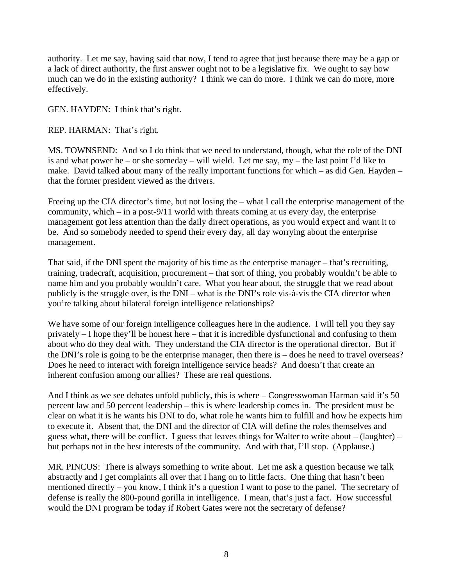authority. Let me say, having said that now, I tend to agree that just because there may be a gap or a lack of direct authority, the first answer ought not to be a legislative fix. We ought to say how much can we do in the existing authority? I think we can do more. I think we can do more, more effectively.

GEN. HAYDEN: I think that's right.

REP. HARMAN: That's right.

MS. TOWNSEND: And so I do think that we need to understand, though, what the role of the DNI is and what power he – or she someday – will wield. Let me say,  $my$  – the last point I'd like to make. David talked about many of the really important functions for which – as did Gen. Hayden – that the former president viewed as the drivers.

Freeing up the CIA director's time, but not losing the – what I call the enterprise management of the community, which – in a post-9/11 world with threats coming at us every day, the enterprise management got less attention than the daily direct operations, as you would expect and want it to be. And so somebody needed to spend their every day, all day worrying about the enterprise management.

That said, if the DNI spent the majority of his time as the enterprise manager – that's recruiting, training, tradecraft, acquisition, procurement – that sort of thing, you probably wouldn't be able to name him and you probably wouldn't care. What you hear about, the struggle that we read about publicly is the struggle over, is the DNI – what is the DNI's role vis-à-vis the CIA director when you're talking about bilateral foreign intelligence relationships?

We have some of our foreign intelligence colleagues here in the audience. I will tell you they say privately – I hope they'll be honest here – that it is incredible dysfunctional and confusing to them about who do they deal with. They understand the CIA director is the operational director. But if the DNI's role is going to be the enterprise manager, then there is – does he need to travel overseas? Does he need to interact with foreign intelligence service heads? And doesn't that create an inherent confusion among our allies? These are real questions.

And I think as we see debates unfold publicly, this is where – Congresswoman Harman said it's 50 percent law and 50 percent leadership – this is where leadership comes in. The president must be clear on what it is he wants his DNI to do, what role he wants him to fulfill and how he expects him to execute it. Absent that, the DNI and the director of CIA will define the roles themselves and guess what, there will be conflict. I guess that leaves things for Walter to write about – (laughter) – but perhaps not in the best interests of the community. And with that, I'll stop. (Applause.)

MR. PINCUS: There is always something to write about. Let me ask a question because we talk abstractly and I get complaints all over that I hang on to little facts. One thing that hasn't been mentioned directly – you know, I think it's a question I want to pose to the panel. The secretary of defense is really the 800-pound gorilla in intelligence. I mean, that's just a fact. How successful would the DNI program be today if Robert Gates were not the secretary of defense?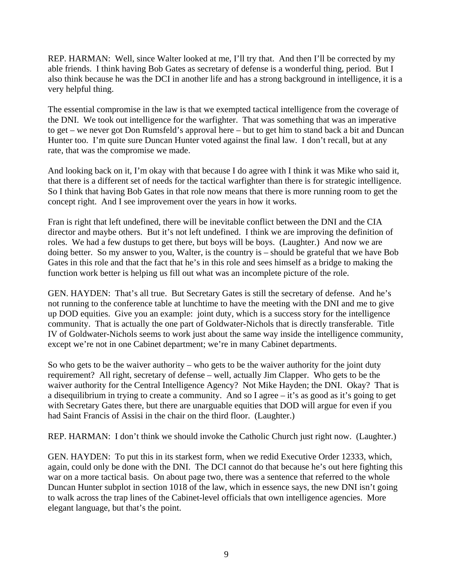REP. HARMAN: Well, since Walter looked at me, I'll try that. And then I'll be corrected by my able friends. I think having Bob Gates as secretary of defense is a wonderful thing, period. But I also think because he was the DCI in another life and has a strong background in intelligence, it is a very helpful thing.

The essential compromise in the law is that we exempted tactical intelligence from the coverage of the DNI. We took out intelligence for the warfighter. That was something that was an imperative to get – we never got Don Rumsfeld's approval here – but to get him to stand back a bit and Duncan Hunter too. I'm quite sure Duncan Hunter voted against the final law. I don't recall, but at any rate, that was the compromise we made.

And looking back on it, I'm okay with that because I do agree with I think it was Mike who said it, that there is a different set of needs for the tactical warfighter than there is for strategic intelligence. So I think that having Bob Gates in that role now means that there is more running room to get the concept right. And I see improvement over the years in how it works.

Fran is right that left undefined, there will be inevitable conflict between the DNI and the CIA director and maybe others. But it's not left undefined. I think we are improving the definition of roles. We had a few dustups to get there, but boys will be boys. (Laughter.) And now we are doing better. So my answer to you, Walter, is the country is – should be grateful that we have Bob Gates in this role and that the fact that he's in this role and sees himself as a bridge to making the function work better is helping us fill out what was an incomplete picture of the role.

GEN. HAYDEN: That's all true. But Secretary Gates is still the secretary of defense. And he's not running to the conference table at lunchtime to have the meeting with the DNI and me to give up DOD equities. Give you an example: joint duty, which is a success story for the intelligence community. That is actually the one part of Goldwater-Nichols that is directly transferable. Title IV of Goldwater-Nichols seems to work just about the same way inside the intelligence community, except we're not in one Cabinet department; we're in many Cabinet departments.

So who gets to be the waiver authority – who gets to be the waiver authority for the joint duty requirement? All right, secretary of defense – well, actually Jim Clapper. Who gets to be the waiver authority for the Central Intelligence Agency? Not Mike Hayden; the DNI. Okay? That is a disequilibrium in trying to create a community. And so I agree – it's as good as it's going to get with Secretary Gates there, but there are unarguable equities that DOD will argue for even if you had Saint Francis of Assisi in the chair on the third floor. (Laughter.)

REP. HARMAN: I don't think we should invoke the Catholic Church just right now. (Laughter.)

GEN. HAYDEN: To put this in its starkest form, when we redid Executive Order 12333, which, again, could only be done with the DNI. The DCI cannot do that because he's out here fighting this war on a more tactical basis. On about page two, there was a sentence that referred to the whole Duncan Hunter subplot in section 1018 of the law, which in essence says, the new DNI isn't going to walk across the trap lines of the Cabinet-level officials that own intelligence agencies. More elegant language, but that's the point.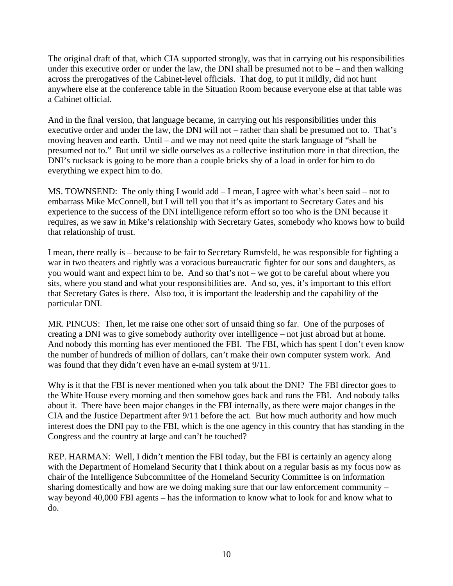The original draft of that, which CIA supported strongly, was that in carrying out his responsibilities under this executive order or under the law, the DNI shall be presumed not to be – and then walking across the prerogatives of the Cabinet-level officials. That dog, to put it mildly, did not hunt anywhere else at the conference table in the Situation Room because everyone else at that table was a Cabinet official.

And in the final version, that language became, in carrying out his responsibilities under this executive order and under the law, the DNI will not – rather than shall be presumed not to. That's moving heaven and earth. Until – and we may not need quite the stark language of "shall be presumed not to." But until we sidle ourselves as a collective institution more in that direction, the DNI's rucksack is going to be more than a couple bricks shy of a load in order for him to do everything we expect him to do.

MS. TOWNSEND: The only thing I would add – I mean, I agree with what's been said – not to embarrass Mike McConnell, but I will tell you that it's as important to Secretary Gates and his experience to the success of the DNI intelligence reform effort so too who is the DNI because it requires, as we saw in Mike's relationship with Secretary Gates, somebody who knows how to build that relationship of trust.

I mean, there really is – because to be fair to Secretary Rumsfeld, he was responsible for fighting a war in two theaters and rightly was a voracious bureaucratic fighter for our sons and daughters, as you would want and expect him to be. And so that's not – we got to be careful about where you sits, where you stand and what your responsibilities are. And so, yes, it's important to this effort that Secretary Gates is there. Also too, it is important the leadership and the capability of the particular DNI.

MR. PINCUS: Then, let me raise one other sort of unsaid thing so far. One of the purposes of creating a DNI was to give somebody authority over intelligence – not just abroad but at home. And nobody this morning has ever mentioned the FBI. The FBI, which has spent I don't even know the number of hundreds of million of dollars, can't make their own computer system work. And was found that they didn't even have an e-mail system at 9/11.

Why is it that the FBI is never mentioned when you talk about the DNI? The FBI director goes to the White House every morning and then somehow goes back and runs the FBI. And nobody talks about it. There have been major changes in the FBI internally, as there were major changes in the CIA and the Justice Department after 9/11 before the act. But how much authority and how much interest does the DNI pay to the FBI, which is the one agency in this country that has standing in the Congress and the country at large and can't be touched?

REP. HARMAN: Well, I didn't mention the FBI today, but the FBI is certainly an agency along with the Department of Homeland Security that I think about on a regular basis as my focus now as chair of the Intelligence Subcommittee of the Homeland Security Committee is on information sharing domestically and how are we doing making sure that our law enforcement community – way beyond 40,000 FBI agents – has the information to know what to look for and know what to do.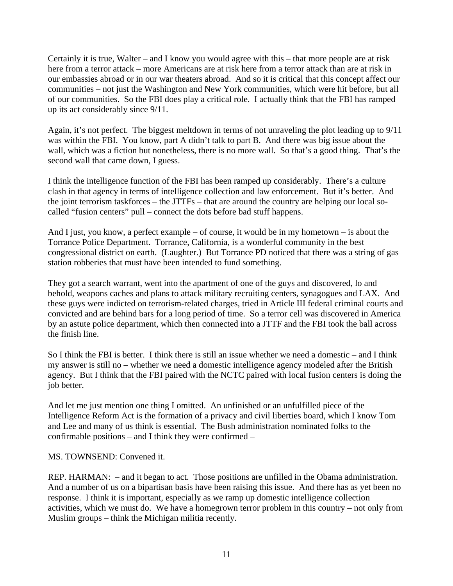Certainly it is true, Walter – and I know you would agree with this – that more people are at risk here from a terror attack – more Americans are at risk here from a terror attack than are at risk in our embassies abroad or in our war theaters abroad. And so it is critical that this concept affect our communities – not just the Washington and New York communities, which were hit before, but all of our communities. So the FBI does play a critical role. I actually think that the FBI has ramped up its act considerably since 9/11.

Again, it's not perfect. The biggest meltdown in terms of not unraveling the plot leading up to 9/11 was within the FBI. You know, part A didn't talk to part B. And there was big issue about the wall, which was a fiction but nonetheless, there is no more wall. So that's a good thing. That's the second wall that came down, I guess.

I think the intelligence function of the FBI has been ramped up considerably. There's a culture clash in that agency in terms of intelligence collection and law enforcement. But it's better. And the joint terrorism taskforces – the JTTFs – that are around the country are helping our local socalled "fusion centers" pull – connect the dots before bad stuff happens.

And I just, you know, a perfect example – of course, it would be in my hometown  $-$  is about the Torrance Police Department. Torrance, California, is a wonderful community in the best congressional district on earth. (Laughter.) But Torrance PD noticed that there was a string of gas station robberies that must have been intended to fund something.

They got a search warrant, went into the apartment of one of the guys and discovered, lo and behold, weapons caches and plans to attack military recruiting centers, synagogues and LAX. And these guys were indicted on terrorism-related charges, tried in Article III federal criminal courts and convicted and are behind bars for a long period of time. So a terror cell was discovered in America by an astute police department, which then connected into a JTTF and the FBI took the ball across the finish line.

So I think the FBI is better. I think there is still an issue whether we need a domestic – and I think my answer is still no – whether we need a domestic intelligence agency modeled after the British agency. But I think that the FBI paired with the NCTC paired with local fusion centers is doing the job better.

And let me just mention one thing I omitted. An unfinished or an unfulfilled piece of the Intelligence Reform Act is the formation of a privacy and civil liberties board, which I know Tom and Lee and many of us think is essential. The Bush administration nominated folks to the confirmable positions – and I think they were confirmed –

MS. TOWNSEND: Convened it.

REP. HARMAN: – and it began to act. Those positions are unfilled in the Obama administration. And a number of us on a bipartisan basis have been raising this issue. And there has as yet been no response. I think it is important, especially as we ramp up domestic intelligence collection activities, which we must do. We have a homegrown terror problem in this country – not only from Muslim groups – think the Michigan militia recently.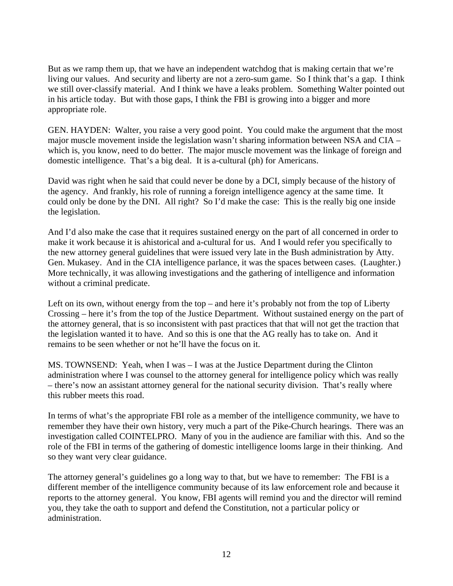But as we ramp them up, that we have an independent watchdog that is making certain that we're living our values. And security and liberty are not a zero-sum game. So I think that's a gap. I think we still over-classify material. And I think we have a leaks problem. Something Walter pointed out in his article today. But with those gaps, I think the FBI is growing into a bigger and more appropriate role.

GEN. HAYDEN: Walter, you raise a very good point. You could make the argument that the most major muscle movement inside the legislation wasn't sharing information between NSA and CIA – which is, you know, need to do better. The major muscle movement was the linkage of foreign and domestic intelligence. That's a big deal. It is a-cultural (ph) for Americans.

David was right when he said that could never be done by a DCI, simply because of the history of the agency. And frankly, his role of running a foreign intelligence agency at the same time. It could only be done by the DNI. All right? So I'd make the case: This is the really big one inside the legislation.

And I'd also make the case that it requires sustained energy on the part of all concerned in order to make it work because it is ahistorical and a-cultural for us. And I would refer you specifically to the new attorney general guidelines that were issued very late in the Bush administration by Atty. Gen. Mukasey. And in the CIA intelligence parlance, it was the spaces between cases. (Laughter.) More technically, it was allowing investigations and the gathering of intelligence and information without a criminal predicate.

Left on its own, without energy from the top – and here it's probably not from the top of Liberty Crossing – here it's from the top of the Justice Department. Without sustained energy on the part of the attorney general, that is so inconsistent with past practices that that will not get the traction that the legislation wanted it to have. And so this is one that the AG really has to take on. And it remains to be seen whether or not he'll have the focus on it.

MS. TOWNSEND: Yeah, when I was – I was at the Justice Department during the Clinton administration where I was counsel to the attorney general for intelligence policy which was really – there's now an assistant attorney general for the national security division. That's really where this rubber meets this road.

In terms of what's the appropriate FBI role as a member of the intelligence community, we have to remember they have their own history, very much a part of the Pike-Church hearings. There was an investigation called COINTELPRO. Many of you in the audience are familiar with this. And so the role of the FBI in terms of the gathering of domestic intelligence looms large in their thinking. And so they want very clear guidance.

The attorney general's guidelines go a long way to that, but we have to remember: The FBI is a different member of the intelligence community because of its law enforcement role and because it reports to the attorney general. You know, FBI agents will remind you and the director will remind you, they take the oath to support and defend the Constitution, not a particular policy or administration.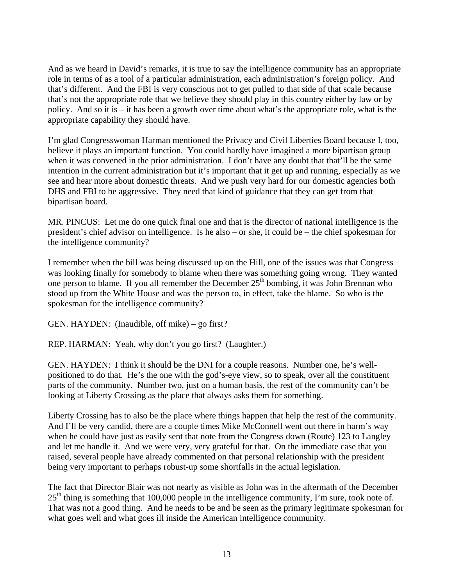And as we heard in David's remarks, it is true to say the intelligence community has an appropriate role in terms of as a tool of a particular administration, each administration's foreign policy. And that's different. And the FBI is very conscious not to get pulled to that side of that scale because that's not the appropriate role that we believe they should play in this country either by law or by policy. And so it is – it has been a growth over time about what's the appropriate role, what is the appropriate capability they should have.

I'm glad Congresswoman Harman mentioned the Privacy and Civil Liberties Board because I, too, believe it plays an important function. You could hardly have imagined a more bipartisan group when it was convened in the prior administration. I don't have any doubt that that'll be the same intention in the current administration but it's important that it get up and running, especially as we see and hear more about domestic threats. And we push very hard for our domestic agencies both DHS and FBI to be aggressive. They need that kind of guidance that they can get from that bipartisan board.

MR. PINCUS: Let me do one quick final one and that is the director of national intelligence is the president's chief advisor on intelligence. Is he also – or she, it could be – the chief spokesman for the intelligence community?

I remember when the bill was being discussed up on the Hill, one of the issues was that Congress was looking finally for somebody to blame when there was something going wrong. They wanted one person to blame. If you all remember the December  $25<sup>th</sup>$  bombing, it was John Brennan who stood up from the White House and was the person to, in effect, take the blame. So who is the spokesman for the intelligence community?

GEN. HAYDEN: (Inaudible, off mike) – go first?

REP. HARMAN: Yeah, why don't you go first? (Laughter.)

GEN. HAYDEN: I think it should be the DNI for a couple reasons. Number one, he's wellpositioned to do that. He's the one with the god's-eye view, so to speak, over all the constituent parts of the community. Number two, just on a human basis, the rest of the community can't be looking at Liberty Crossing as the place that always asks them for something.

Liberty Crossing has to also be the place where things happen that help the rest of the community. And I'll be very candid, there are a couple times Mike McConnell went out there in harm's way when he could have just as easily sent that note from the Congress down (Route) 123 to Langley and let me handle it. And we were very, very grateful for that. On the immediate case that you raised, several people have already commented on that personal relationship with the president being very important to perhaps robust-up some shortfalls in the actual legislation.

The fact that Director Blair was not nearly as visible as John was in the aftermath of the December  $25<sup>th</sup>$  thing is something that 100,000 people in the intelligence community, I'm sure, took note of. That was not a good thing. And he needs to be and be seen as the primary legitimate spokesman for what goes well and what goes ill inside the American intelligence community.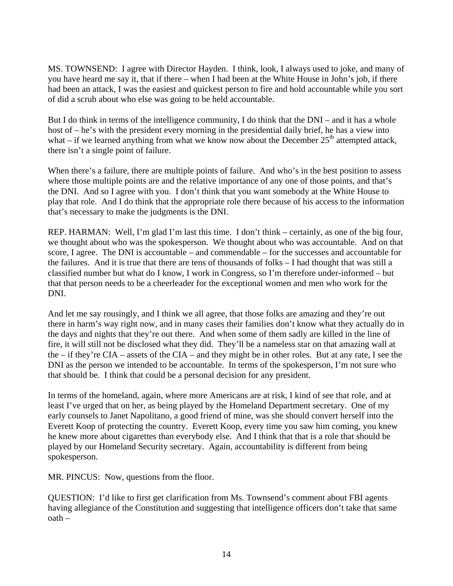MS. TOWNSEND: I agree with Director Hayden. I think, look, I always used to joke, and many of you have heard me say it, that if there – when I had been at the White House in John's job, if there had been an attack, I was the easiest and quickest person to fire and hold accountable while you sort of did a scrub about who else was going to be held accountable.

But I do think in terms of the intelligence community, I do think that the DNI – and it has a whole host of – he's with the president every morning in the presidential daily brief, he has a view into what – if we learned anything from what we know now about the December  $25<sup>th</sup>$  attempted attack, there isn't a single point of failure.

When there's a failure, there are multiple points of failure. And who's in the best position to assess where those multiple points are and the relative importance of any one of those points, and that's the DNI. And so I agree with you. I don't think that you want somebody at the White House to play that role. And I do think that the appropriate role there because of his access to the information that's necessary to make the judgments is the DNI.

REP. HARMAN: Well, I'm glad I'm last this time. I don't think – certainly, as one of the big four, we thought about who was the spokesperson. We thought about who was accountable. And on that score, I agree. The DNI is accountable – and commendable – for the successes and accountable for the failures. And it is true that there are tens of thousands of folks – I had thought that was still a classified number but what do I know, I work in Congress, so I'm therefore under-informed – but that that person needs to be a cheerleader for the exceptional women and men who work for the DNI.

And let me say rousingly, and I think we all agree, that those folks are amazing and they're out there in harm's way right now, and in many cases their families don't know what they actually do in the days and nights that they're out there. And when some of them sadly are killed in the line of fire, it will still not be disclosed what they did. They'll be a nameless star on that amazing wall at the – if they're CIA – assets of the CIA – and they might be in other roles. But at any rate, I see the DNI as the person we intended to be accountable. In terms of the spokesperson, I'm not sure who that should be. I think that could be a personal decision for any president.

In terms of the homeland, again, where more Americans are at risk, I kind of see that role, and at least I've urged that on her, as being played by the Homeland Department secretary. One of my early counsels to Janet Napolitano, a good friend of mine, was she should convert herself into the Everett Koop of protecting the country. Everett Koop, every time you saw him coming, you knew he knew more about cigarettes than everybody else. And I think that that is a role that should be played by our Homeland Security secretary. Again, accountability is different from being spokesperson.

MR. PINCUS: Now, questions from the floor.

QUESTION: I'd like to first get clarification from Ms. Townsend's comment about FBI agents having allegiance of the Constitution and suggesting that intelligence officers don't take that same oath –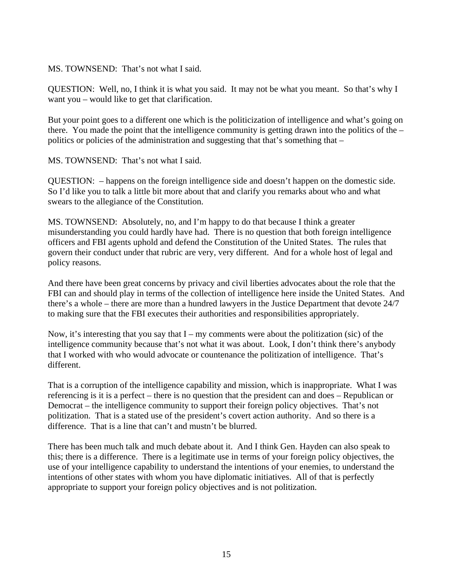MS. TOWNSEND: That's not what I said.

QUESTION: Well, no, I think it is what you said. It may not be what you meant. So that's why I want you – would like to get that clarification.

But your point goes to a different one which is the politicization of intelligence and what's going on there. You made the point that the intelligence community is getting drawn into the politics of the – politics or policies of the administration and suggesting that that's something that  $-$ 

MS. TOWNSEND: That's not what I said.

QUESTION: – happens on the foreign intelligence side and doesn't happen on the domestic side. So I'd like you to talk a little bit more about that and clarify you remarks about who and what swears to the allegiance of the Constitution.

MS. TOWNSEND: Absolutely, no, and I'm happy to do that because I think a greater misunderstanding you could hardly have had. There is no question that both foreign intelligence officers and FBI agents uphold and defend the Constitution of the United States. The rules that govern their conduct under that rubric are very, very different. And for a whole host of legal and policy reasons.

And there have been great concerns by privacy and civil liberties advocates about the role that the FBI can and should play in terms of the collection of intelligence here inside the United States. And there's a whole – there are more than a hundred lawyers in the Justice Department that devote 24/7 to making sure that the FBI executes their authorities and responsibilities appropriately.

Now, it's interesting that you say that  $I - my$  comments were about the politization (sic) of the intelligence community because that's not what it was about. Look, I don't think there's anybody that I worked with who would advocate or countenance the politization of intelligence. That's different.

That is a corruption of the intelligence capability and mission, which is inappropriate. What I was referencing is it is a perfect – there is no question that the president can and does – Republican or Democrat – the intelligence community to support their foreign policy objectives. That's not politization. That is a stated use of the president's covert action authority. And so there is a difference. That is a line that can't and mustn't be blurred.

There has been much talk and much debate about it. And I think Gen. Hayden can also speak to this; there is a difference. There is a legitimate use in terms of your foreign policy objectives, the use of your intelligence capability to understand the intentions of your enemies, to understand the intentions of other states with whom you have diplomatic initiatives. All of that is perfectly appropriate to support your foreign policy objectives and is not politization.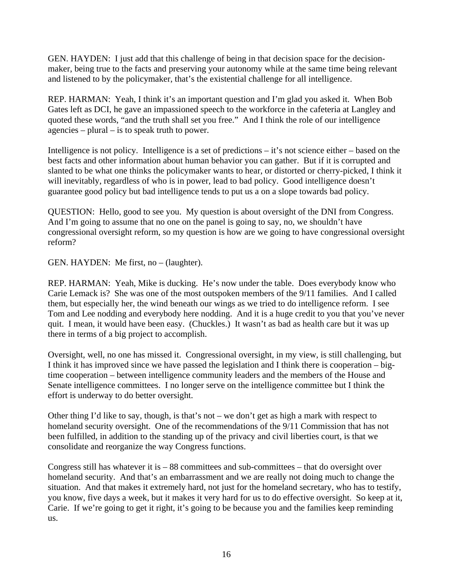GEN. HAYDEN: I just add that this challenge of being in that decision space for the decisionmaker, being true to the facts and preserving your autonomy while at the same time being relevant and listened to by the policymaker, that's the existential challenge for all intelligence.

REP. HARMAN: Yeah, I think it's an important question and I'm glad you asked it. When Bob Gates left as DCI, he gave an impassioned speech to the workforce in the cafeteria at Langley and quoted these words, "and the truth shall set you free." And I think the role of our intelligence agencies – plural – is to speak truth to power.

Intelligence is not policy. Intelligence is a set of predictions – it's not science either – based on the best facts and other information about human behavior you can gather. But if it is corrupted and slanted to be what one thinks the policymaker wants to hear, or distorted or cherry-picked, I think it will inevitably, regardless of who is in power, lead to bad policy. Good intelligence doesn't guarantee good policy but bad intelligence tends to put us a on a slope towards bad policy.

QUESTION: Hello, good to see you. My question is about oversight of the DNI from Congress. And I'm going to assume that no one on the panel is going to say, no, we shouldn't have congressional oversight reform, so my question is how are we going to have congressional oversight reform?

GEN. HAYDEN: Me first, no – (laughter).

REP. HARMAN: Yeah, Mike is ducking. He's now under the table. Does everybody know who Carie Lemack is? She was one of the most outspoken members of the 9/11 families. And I called them, but especially her, the wind beneath our wings as we tried to do intelligence reform. I see Tom and Lee nodding and everybody here nodding. And it is a huge credit to you that you've never quit. I mean, it would have been easy. (Chuckles.) It wasn't as bad as health care but it was up there in terms of a big project to accomplish.

Oversight, well, no one has missed it. Congressional oversight, in my view, is still challenging, but I think it has improved since we have passed the legislation and I think there is cooperation – bigtime cooperation – between intelligence community leaders and the members of the House and Senate intelligence committees. I no longer serve on the intelligence committee but I think the effort is underway to do better oversight.

Other thing I'd like to say, though, is that's not – we don't get as high a mark with respect to homeland security oversight. One of the recommendations of the 9/11 Commission that has not been fulfilled, in addition to the standing up of the privacy and civil liberties court, is that we consolidate and reorganize the way Congress functions.

Congress still has whatever it is  $-88$  committees and sub-committees  $-$  that do oversight over homeland security. And that's an embarrassment and we are really not doing much to change the situation. And that makes it extremely hard, not just for the homeland secretary, who has to testify, you know, five days a week, but it makes it very hard for us to do effective oversight. So keep at it, Carie. If we're going to get it right, it's going to be because you and the families keep reminding us.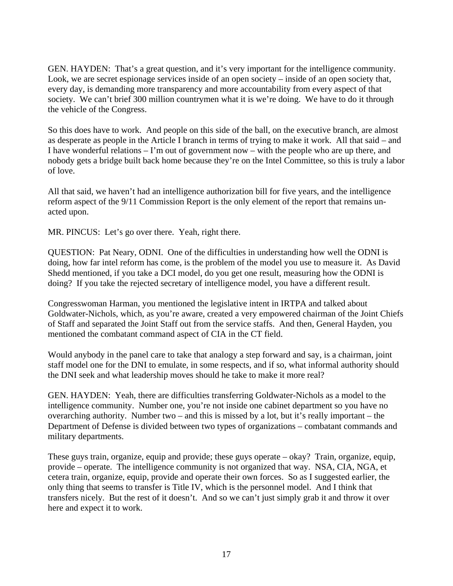GEN. HAYDEN: That's a great question, and it's very important for the intelligence community. Look, we are secret espionage services inside of an open society – inside of an open society that, every day, is demanding more transparency and more accountability from every aspect of that society. We can't brief 300 million countrymen what it is we're doing. We have to do it through the vehicle of the Congress.

So this does have to work. And people on this side of the ball, on the executive branch, are almost as desperate as people in the Article I branch in terms of trying to make it work. All that said – and I have wonderful relations – I'm out of government now – with the people who are up there, and nobody gets a bridge built back home because they're on the Intel Committee, so this is truly a labor of love.

All that said, we haven't had an intelligence authorization bill for five years, and the intelligence reform aspect of the 9/11 Commission Report is the only element of the report that remains unacted upon.

MR. PINCUS: Let's go over there. Yeah, right there.

QUESTION: Pat Neary, ODNI. One of the difficulties in understanding how well the ODNI is doing, how far intel reform has come, is the problem of the model you use to measure it. As David Shedd mentioned, if you take a DCI model, do you get one result, measuring how the ODNI is doing? If you take the rejected secretary of intelligence model, you have a different result.

Congresswoman Harman, you mentioned the legislative intent in IRTPA and talked about Goldwater-Nichols, which, as you're aware, created a very empowered chairman of the Joint Chiefs of Staff and separated the Joint Staff out from the service staffs. And then, General Hayden, you mentioned the combatant command aspect of CIA in the CT field.

Would anybody in the panel care to take that analogy a step forward and say, is a chairman, joint staff model one for the DNI to emulate, in some respects, and if so, what informal authority should the DNI seek and what leadership moves should he take to make it more real?

GEN. HAYDEN: Yeah, there are difficulties transferring Goldwater-Nichols as a model to the intelligence community. Number one, you're not inside one cabinet department so you have no overarching authority. Number two – and this is missed by a lot, but it's really important – the Department of Defense is divided between two types of organizations – combatant commands and military departments.

These guys train, organize, equip and provide; these guys operate – okay? Train, organize, equip, provide – operate. The intelligence community is not organized that way. NSA, CIA, NGA, et cetera train, organize, equip, provide and operate their own forces. So as I suggested earlier, the only thing that seems to transfer is Title IV, which is the personnel model. And I think that transfers nicely. But the rest of it doesn't. And so we can't just simply grab it and throw it over here and expect it to work.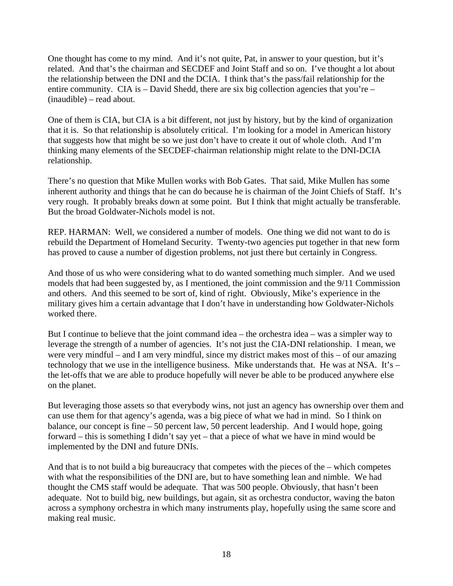One thought has come to my mind. And it's not quite, Pat, in answer to your question, but it's related. And that's the chairman and SECDEF and Joint Staff and so on. I've thought a lot about the relationship between the DNI and the DCIA. I think that's the pass/fail relationship for the entire community. CIA is  $-$  David Shedd, there are six big collection agencies that you're  $-$ (inaudible) – read about.

One of them is CIA, but CIA is a bit different, not just by history, but by the kind of organization that it is. So that relationship is absolutely critical. I'm looking for a model in American history that suggests how that might be so we just don't have to create it out of whole cloth. And I'm thinking many elements of the SECDEF-chairman relationship might relate to the DNI-DCIA relationship.

There's no question that Mike Mullen works with Bob Gates. That said, Mike Mullen has some inherent authority and things that he can do because he is chairman of the Joint Chiefs of Staff. It's very rough. It probably breaks down at some point. But I think that might actually be transferable. But the broad Goldwater-Nichols model is not.

REP. HARMAN: Well, we considered a number of models. One thing we did not want to do is rebuild the Department of Homeland Security. Twenty-two agencies put together in that new form has proved to cause a number of digestion problems, not just there but certainly in Congress.

And those of us who were considering what to do wanted something much simpler. And we used models that had been suggested by, as I mentioned, the joint commission and the 9/11 Commission and others. And this seemed to be sort of, kind of right. Obviously, Mike's experience in the military gives him a certain advantage that I don't have in understanding how Goldwater-Nichols worked there.

But I continue to believe that the joint command idea – the orchestra idea – was a simpler way to leverage the strength of a number of agencies. It's not just the CIA-DNI relationship. I mean, we were very mindful – and I am very mindful, since my district makes most of this – of our amazing technology that we use in the intelligence business. Mike understands that. He was at NSA. It's – the let-offs that we are able to produce hopefully will never be able to be produced anywhere else on the planet.

But leveraging those assets so that everybody wins, not just an agency has ownership over them and can use them for that agency's agenda, was a big piece of what we had in mind. So I think on balance, our concept is fine – 50 percent law, 50 percent leadership. And I would hope, going forward – this is something I didn't say yet – that a piece of what we have in mind would be implemented by the DNI and future DNIs.

And that is to not build a big bureaucracy that competes with the pieces of the – which competes with what the responsibilities of the DNI are, but to have something lean and nimble. We had thought the CMS staff would be adequate. That was 500 people. Obviously, that hasn't been adequate. Not to build big, new buildings, but again, sit as orchestra conductor, waving the baton across a symphony orchestra in which many instruments play, hopefully using the same score and making real music.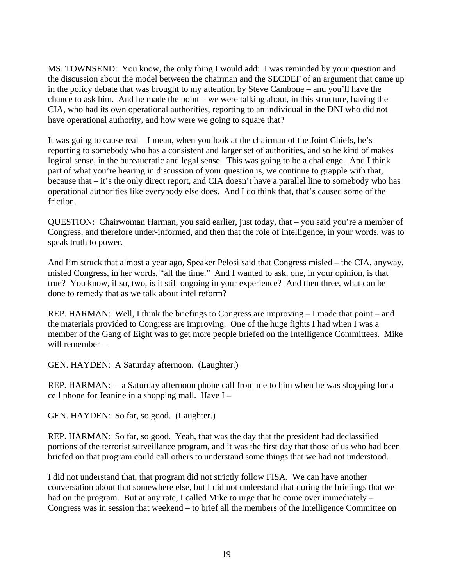MS. TOWNSEND: You know, the only thing I would add: I was reminded by your question and the discussion about the model between the chairman and the SECDEF of an argument that came up in the policy debate that was brought to my attention by Steve Cambone – and you'll have the chance to ask him. And he made the point – we were talking about, in this structure, having the CIA, who had its own operational authorities, reporting to an individual in the DNI who did not have operational authority, and how were we going to square that?

It was going to cause real – I mean, when you look at the chairman of the Joint Chiefs, he's reporting to somebody who has a consistent and larger set of authorities, and so he kind of makes logical sense, in the bureaucratic and legal sense. This was going to be a challenge. And I think part of what you're hearing in discussion of your question is, we continue to grapple with that, because that – it's the only direct report, and CIA doesn't have a parallel line to somebody who has operational authorities like everybody else does. And I do think that, that's caused some of the friction.

QUESTION: Chairwoman Harman, you said earlier, just today, that – you said you're a member of Congress, and therefore under-informed, and then that the role of intelligence, in your words, was to speak truth to power.

And I'm struck that almost a year ago, Speaker Pelosi said that Congress misled – the CIA, anyway, misled Congress, in her words, "all the time." And I wanted to ask, one, in your opinion, is that true? You know, if so, two, is it still ongoing in your experience? And then three, what can be done to remedy that as we talk about intel reform?

REP. HARMAN: Well, I think the briefings to Congress are improving – I made that point – and the materials provided to Congress are improving. One of the huge fights I had when I was a member of the Gang of Eight was to get more people briefed on the Intelligence Committees. Mike will remember –

GEN. HAYDEN: A Saturday afternoon. (Laughter.)

REP. HARMAN: – a Saturday afternoon phone call from me to him when he was shopping for a cell phone for Jeanine in a shopping mall. Have I –

GEN. HAYDEN: So far, so good. (Laughter.)

REP. HARMAN: So far, so good. Yeah, that was the day that the president had declassified portions of the terrorist surveillance program, and it was the first day that those of us who had been briefed on that program could call others to understand some things that we had not understood.

I did not understand that, that program did not strictly follow FISA. We can have another conversation about that somewhere else, but I did not understand that during the briefings that we had on the program. But at any rate, I called Mike to urge that he come over immediately – Congress was in session that weekend – to brief all the members of the Intelligence Committee on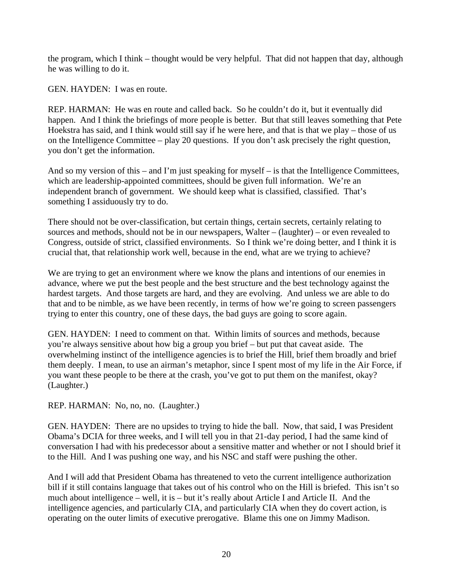the program, which I think – thought would be very helpful. That did not happen that day, although he was willing to do it.

GEN. HAYDEN: I was en route.

REP. HARMAN: He was en route and called back. So he couldn't do it, but it eventually did happen. And I think the briefings of more people is better. But that still leaves something that Pete Hoekstra has said, and I think would still say if he were here, and that is that we play – those of us on the Intelligence Committee – play 20 questions. If you don't ask precisely the right question, you don't get the information.

And so my version of this – and I'm just speaking for myself – is that the Intelligence Committees, which are leadership-appointed committees, should be given full information. We're an independent branch of government. We should keep what is classified, classified. That's something I assiduously try to do.

There should not be over-classification, but certain things, certain secrets, certainly relating to sources and methods, should not be in our newspapers, Walter – (laughter) – or even revealed to Congress, outside of strict, classified environments. So I think we're doing better, and I think it is crucial that, that relationship work well, because in the end, what are we trying to achieve?

We are trying to get an environment where we know the plans and intentions of our enemies in advance, where we put the best people and the best structure and the best technology against the hardest targets. And those targets are hard, and they are evolving. And unless we are able to do that and to be nimble, as we have been recently, in terms of how we're going to screen passengers trying to enter this country, one of these days, the bad guys are going to score again.

GEN. HAYDEN: I need to comment on that. Within limits of sources and methods, because you're always sensitive about how big a group you brief – but put that caveat aside. The overwhelming instinct of the intelligence agencies is to brief the Hill, brief them broadly and brief them deeply. I mean, to use an airman's metaphor, since I spent most of my life in the Air Force, if you want these people to be there at the crash, you've got to put them on the manifest, okay? (Laughter.)

REP. HARMAN: No, no, no. (Laughter.)

GEN. HAYDEN: There are no upsides to trying to hide the ball. Now, that said, I was President Obama's DCIA for three weeks, and I will tell you in that 21-day period, I had the same kind of conversation I had with his predecessor about a sensitive matter and whether or not I should brief it to the Hill. And I was pushing one way, and his NSC and staff were pushing the other.

And I will add that President Obama has threatened to veto the current intelligence authorization bill if it still contains language that takes out of his control who on the Hill is briefed. This isn't so much about intelligence – well, it is – but it's really about Article I and Article II. And the intelligence agencies, and particularly CIA, and particularly CIA when they do covert action, is operating on the outer limits of executive prerogative. Blame this one on Jimmy Madison.